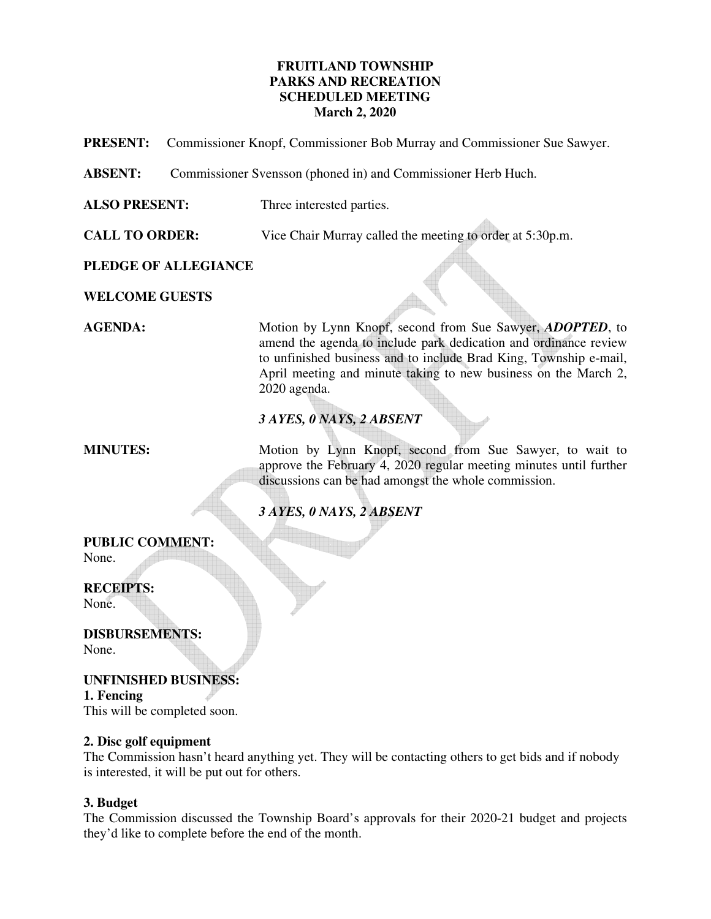# **FRUITLAND TOWNSHIP PARKS AND RECREATION SCHEDULED MEETING March 2, 2020**

**PRESENT:** Commissioner Knopf, Commissioner Bob Murray and Commissioner Sue Sawyer.

**ABSENT:** Commissioner Svensson (phoned in) and Commissioner Herb Huch.

**ALSO PRESENT:** Three interested parties.

**CALL TO ORDER:** Vice Chair Murray called the meeting to order at 5:30p.m.

**PLEDGE OF ALLEGIANCE** 

**WELCOME GUESTS** 

**AGENDA:** Motion by Lynn Knopf, second from Sue Sawyer, *ADOPTED*, to amend the agenda to include park dedication and ordinance review to unfinished business and to include Brad King, Township e-mail, April meeting and minute taking to new business on the March 2, 2020 agenda.

# *3 AYES, 0 NAYS, 2 ABSENT*

**MINUTES:** Motion by Lynn Knopf, second from Sue Sawyer, to wait to approve the February 4, 2020 regular meeting minutes until further discussions can be had amongst the whole commission.

# *3 AYES, 0 NAYS, 2 ABSENT*

# **PUBLIC COMMENT:**

None.

# **RECEIPTS:**

None.

**DISBURSEMENTS:**  None.

**UNFINISHED BUSINESS: 1. Fencing**  This will be completed soon.

# **2. Disc golf equipment**

The Commission hasn't heard anything yet. They will be contacting others to get bids and if nobody is interested, it will be put out for others.

# **3. Budget**

The Commission discussed the Township Board's approvals for their 2020-21 budget and projects they'd like to complete before the end of the month.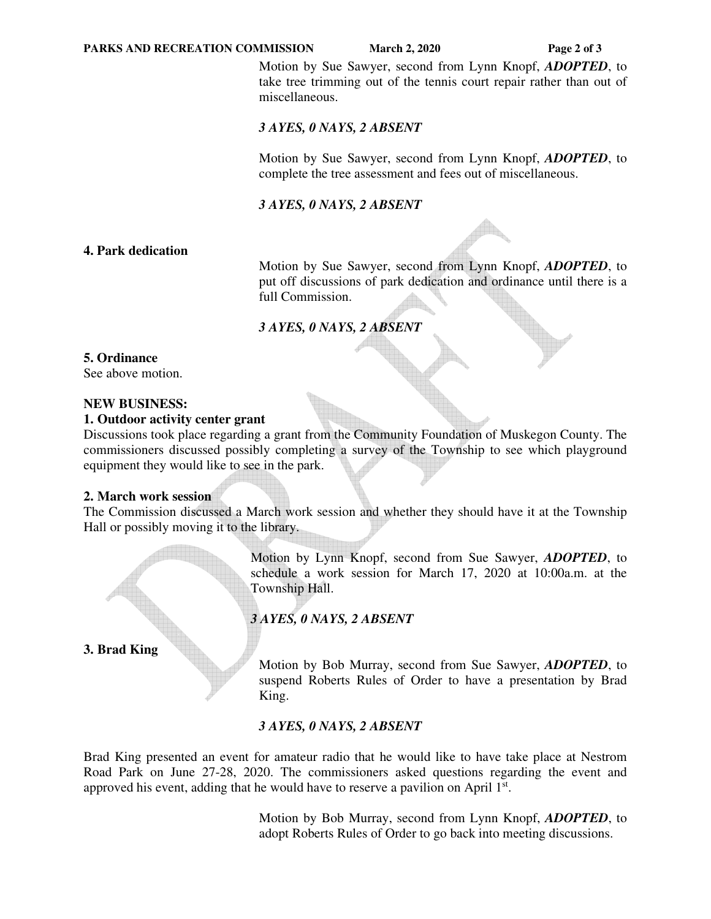#### **PARKS AND RECREATION COMMISSION** March 2, 2020 Page 2 of 3

 Motion by Sue Sawyer, second from Lynn Knopf, *ADOPTED*, to take tree trimming out of the tennis court repair rather than out of miscellaneous.

#### *3 AYES, 0 NAYS, 2 ABSENT*

 Motion by Sue Sawyer, second from Lynn Knopf, *ADOPTED*, to complete the tree assessment and fees out of miscellaneous.

### *3 AYES, 0 NAYS, 2 ABSENT*

**4. Park dedication** 

 Motion by Sue Sawyer, second from Lynn Knopf, *ADOPTED*, to put off discussions of park dedication and ordinance until there is a full Commission.

# *3 AYES, 0 NAYS, 2 ABSENT*

#### **5. Ordinance**

See above motion.

#### **NEW BUSINESS:**

#### **1. Outdoor activity center grant**

Discussions took place regarding a grant from the Community Foundation of Muskegon County. The commissioners discussed possibly completing a survey of the Township to see which playground equipment they would like to see in the park.

#### **2. March work session**

The Commission discussed a March work session and whether they should have it at the Township Hall or possibly moving it to the library.

> Motion by Lynn Knopf, second from Sue Sawyer, *ADOPTED*, to schedule a work session for March 17, 2020 at 10:00a.m. at the Township Hall.

# *3 AYES, 0 NAYS, 2 ABSENT*

**3. Brad King**

 Motion by Bob Murray, second from Sue Sawyer, *ADOPTED*, to suspend Roberts Rules of Order to have a presentation by Brad King.

#### *3 AYES, 0 NAYS, 2 ABSENT*

Brad King presented an event for amateur radio that he would like to have take place at Nestrom Road Park on June 27-28, 2020. The commissioners asked questions regarding the event and approved his event, adding that he would have to reserve a pavilion on April  $1<sup>st</sup>$ .

> Motion by Bob Murray, second from Lynn Knopf, *ADOPTED*, to adopt Roberts Rules of Order to go back into meeting discussions.